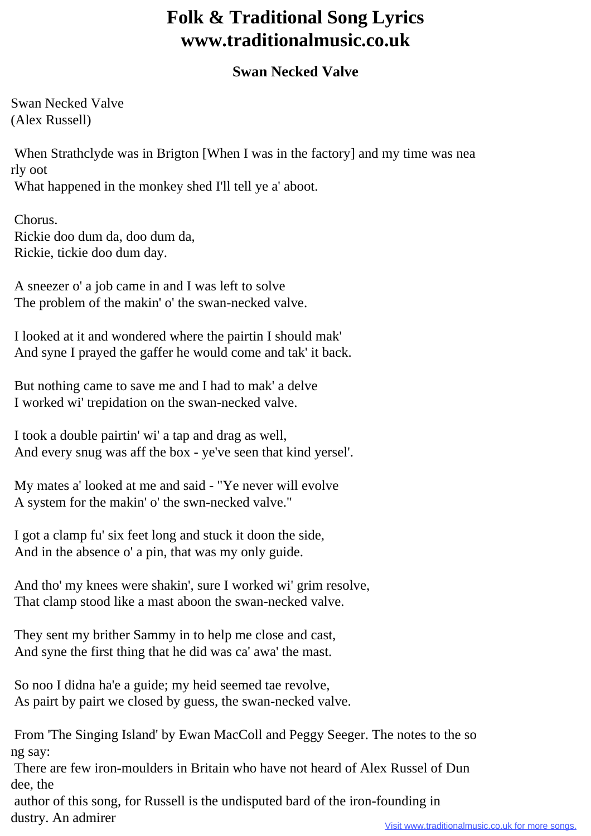## **Folk & Traditional Song Lyrics www.traditionalmusic.co.uk**

## **Swan Necked Valve**

Swan Necked Valve (Alex Russell)

 When Strathclyde was in Brigton [When I was in the factory] and my time was nea rly oot What happened in the monkey shed I'll tell ye a' aboot.

 Chorus. Rickie doo dum da, doo dum da, Rickie, tickie doo dum day.

 A sneezer o' a job came in and I was left to solve The problem of the makin' o' the swan-necked valve.

 I looked at it and wondered where the pairtin I should mak' And syne I prayed the gaffer he would come and tak' it back.

 But nothing came to save me and I had to mak' a delve I worked wi' trepidation on the swan-necked valve.

 I took a double pairtin' wi' a tap and drag as well, And every snug was aff the box - ye've seen that kind yersel'.

 My mates a' looked at me and said - "Ye never will evolve A system for the makin' o' the swn-necked valve."

 I got a clamp fu' six feet long and stuck it doon the side, And in the absence o' a pin, that was my only guide.

 And tho' my knees were shakin', sure I worked wi' grim resolve, That clamp stood like a mast aboon the swan-necked valve.

 They sent my brither Sammy in to help me close and cast, And syne the first thing that he did was ca' awa' the mast.

 So noo I didna ha'e a guide; my heid seemed tae revolve, As pairt by pairt we closed by guess, the swan-necked valve.

 From 'The Singing Island' by Ewan MacColl and Peggy Seeger. The notes to the so ng say:

 There are few iron-moulders in Britain who have not heard of Alex Russel of Dun dee, the

 author of this song, for Russell is the undisputed bard of the iron-founding in dustry. An admirer